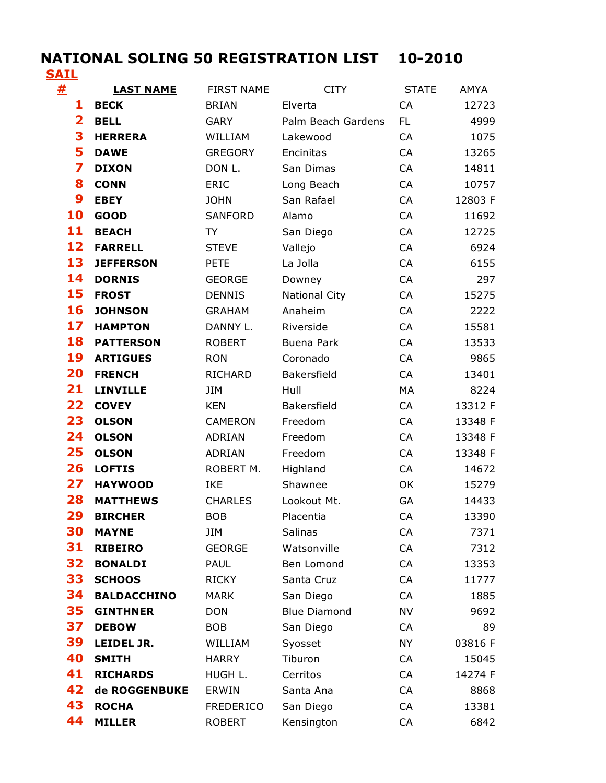## **NATIONAL SOLING 50 REGISTRATION LIST 10-2010**

| ٠ |
|---|
|---|

| 坓  | <b>LAST NAME</b>   | <b>FIRST NAME</b> | <b>CITY</b>          | <b>STATE</b> | <b>AMYA</b> |
|----|--------------------|-------------------|----------------------|--------------|-------------|
| 1  | <b>BECK</b>        | <b>BRIAN</b>      | Elverta              | CA           | 12723       |
| 2  | <b>BELL</b>        | <b>GARY</b>       | Palm Beach Gardens   | FL.          | 4999        |
| 3  | <b>HERRERA</b>     | WILLIAM           | Lakewood             | CA           | 1075        |
| 5  | <b>DAWE</b>        | <b>GREGORY</b>    | Encinitas            | CA           | 13265       |
| 7  | <b>DIXON</b>       | DON L.            | San Dimas            | CA           | 14811       |
| 8  | <b>CONN</b>        | <b>ERIC</b>       | Long Beach           | CA           | 10757       |
| 9  | <b>EBEY</b>        | <b>JOHN</b>       | San Rafael           | CA           | 12803 F     |
| 10 | <b>GOOD</b>        | <b>SANFORD</b>    | Alamo                | CA           | 11692       |
| 11 | <b>BEACH</b>       | <b>TY</b>         | San Diego            | CA           | 12725       |
| 12 | <b>FARRELL</b>     | <b>STEVE</b>      | Vallejo              | CA           | 6924        |
| 13 | <b>JEFFERSON</b>   | <b>PETE</b>       | La Jolla             | CA           | 6155        |
| 14 | <b>DORNIS</b>      | <b>GEORGE</b>     | Downey               | CA           | 297         |
| 15 | <b>FROST</b>       | <b>DENNIS</b>     | <b>National City</b> | CA           | 15275       |
| 16 | <b>JOHNSON</b>     | <b>GRAHAM</b>     | Anaheim              | CA           | 2222        |
| 17 | <b>HAMPTON</b>     | DANNY L.          | Riverside            | CA           | 15581       |
| 18 | <b>PATTERSON</b>   | <b>ROBERT</b>     | <b>Buena Park</b>    | CA           | 13533       |
| 19 | <b>ARTIGUES</b>    | <b>RON</b>        | Coronado             | CA           | 9865        |
| 20 | <b>FRENCH</b>      | <b>RICHARD</b>    | Bakersfield          | CA           | 13401       |
| 21 | <b>LINVILLE</b>    | JIM               | Hull                 | MA           | 8224        |
| 22 | <b>COVEY</b>       | <b>KEN</b>        | Bakersfield          | CA           | 13312 F     |
| 23 | <b>OLSON</b>       | <b>CAMERON</b>    | Freedom              | CA           | 13348 F     |
| 24 | <b>OLSON</b>       | ADRIAN            | Freedom              | CA           | 13348 F     |
| 25 | <b>OLSON</b>       | ADRIAN            | Freedom              | CA           | 13348 F     |
| 26 | <b>LOFTIS</b>      | ROBERT M.         | Highland             | CA           | 14672       |
| 27 | <b>HAYWOOD</b>     | <b>IKE</b>        | Shawnee              | OK           | 15279       |
| 28 | <b>MATTHEWS</b>    | <b>CHARLES</b>    | Lookout Mt.          | GA           | 14433       |
| 29 | <b>BIRCHER</b>     | <b>BOB</b>        | Placentia            | CA           | 13390       |
| 30 | <b>MAYNE</b>       | JIM               | Salinas              | CA           | 7371        |
| 31 | <b>RIBEIRO</b>     | <b>GEORGE</b>     | Watsonville          | CA           | 7312        |
| 32 | <b>BONALDI</b>     | PAUL              | Ben Lomond           | CA           | 13353       |
| 33 | <b>SCHOOS</b>      | <b>RICKY</b>      | Santa Cruz           | CA           | 11777       |
| 34 | <b>BALDACCHINO</b> | <b>MARK</b>       | San Diego            | CA           | 1885        |
| 35 | <b>GINTHNER</b>    | <b>DON</b>        | <b>Blue Diamond</b>  | <b>NV</b>    | 9692        |
| 37 | <b>DEBOW</b>       | <b>BOB</b>        | San Diego            | CA           | 89          |
| 39 | LEIDEL JR.         | WILLIAM           | Syosset              | <b>NY</b>    | 03816 F     |
| 40 | <b>SMITH</b>       | <b>HARRY</b>      | Tiburon              | CA           | 15045       |
| 41 | <b>RICHARDS</b>    | HUGH L.           | Cerritos             | CA           | 14274 F     |
| 42 | de ROGGENBUKE      | ERWIN             | Santa Ana            | CA           | 8868        |
| 43 | <b>ROCHA</b>       | <b>FREDERICO</b>  | San Diego            | CA           | 13381       |
| 44 | <b>MILLER</b>      | <b>ROBERT</b>     | Kensington           | CA           | 6842        |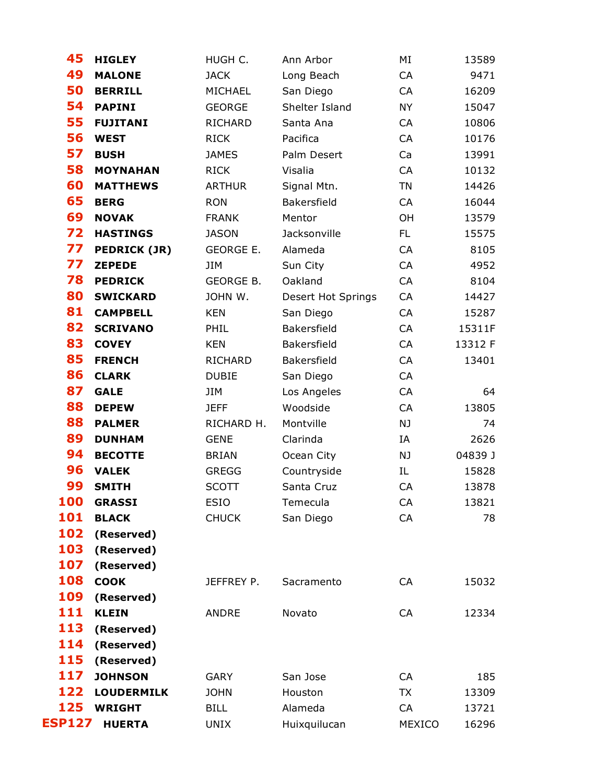| 45            | <b>HIGLEY</b>       | HUGH C.          | Ann Arbor          | ΜI        | 13589   |
|---------------|---------------------|------------------|--------------------|-----------|---------|
| 49            | <b>MALONE</b>       | <b>JACK</b>      | Long Beach         | CA        | 9471    |
| 50            | <b>BERRILL</b>      | MICHAEL          | San Diego          | CA        | 16209   |
| 54            | <b>PAPINI</b>       | <b>GEORGE</b>    | Shelter Island     | <b>NY</b> | 15047   |
| 55            | <b>FUJITANI</b>     | RICHARD          | Santa Ana          | CA        | 10806   |
| 56            | <b>WEST</b>         | <b>RICK</b>      | Pacifica           | CA        | 10176   |
| 57            | <b>BUSH</b>         | <b>JAMES</b>     | Palm Desert        | Ca        | 13991   |
| 58            | <b>MOYNAHAN</b>     | <b>RICK</b>      | Visalia            | CA        | 10132   |
| 60            | <b>MATTHEWS</b>     | <b>ARTHUR</b>    | Signal Mtn.        | <b>TN</b> | 14426   |
| 65            | <b>BERG</b>         | <b>RON</b>       | Bakersfield        | CA        | 16044   |
| 69            | <b>NOVAK</b>        | <b>FRANK</b>     | Mentor             | OH        | 13579   |
| 72            | <b>HASTINGS</b>     | <b>JASON</b>     | Jacksonville       | FL.       | 15575   |
| 77            | <b>PEDRICK (JR)</b> | <b>GEORGE E.</b> | Alameda            | CA        | 8105    |
| 77            | <b>ZEPEDE</b>       | JIM              | Sun City           | CA        | 4952    |
| 78            | <b>PEDRICK</b>      | <b>GEORGE B.</b> | Oakland            | CA        | 8104    |
| 80            | <b>SWICKARD</b>     | JOHN W.          | Desert Hot Springs | CA        | 14427   |
| 81            | <b>CAMPBELL</b>     | <b>KEN</b>       | San Diego          | CA        | 15287   |
| 82            | <b>SCRIVANO</b>     | PHIL             | Bakersfield        | CA        | 15311F  |
| 83            | <b>COVEY</b>        | <b>KEN</b>       | Bakersfield        | CA        | 13312 F |
| 85            | <b>FRENCH</b>       | RICHARD          | Bakersfield        | CA        | 13401   |
| 86            | <b>CLARK</b>        | <b>DUBIE</b>     | San Diego          | CA        |         |
| 87            | <b>GALE</b>         | JIM              | Los Angeles        | CA        | 64      |
| 88            | <b>DEPEW</b>        | <b>JEFF</b>      | Woodside           | CA        | 13805   |
| 88            | <b>PALMER</b>       | RICHARD H.       | Montville          | NJ        | 74      |
| 89            | <b>DUNHAM</b>       | <b>GENE</b>      | Clarinda           | IA        | 2626    |
| 94            | <b>BECOTTE</b>      | <b>BRIAN</b>     | Ocean City         | NJ        | 04839 J |
| 96            | <b>VALEK</b>        | <b>GREGG</b>     | Countryside        | IL        | 15828   |
| 99            | <b>SMITH</b>        | <b>SCOTT</b>     | Santa Cruz         | CA        | 13878   |
| 100           | <b>GRASSI</b>       | <b>ESIO</b>      | Temecula           | CA        | 13821   |
| 101           | <b>BLACK</b>        | <b>CHUCK</b>     | San Diego          | CA        | 78      |
| 102           | (Reserved)          |                  |                    |           |         |
| 103           | (Reserved)          |                  |                    |           |         |
| 107           | (Reserved)          |                  |                    |           |         |
| 108           | <b>COOK</b>         | JEFFREY P.       | Sacramento         | CA        | 15032   |
| 109           | (Reserved)          |                  |                    |           |         |
| 111           | <b>KLEIN</b>        | ANDRE            | Novato             | CA        | 12334   |
| 113           | (Reserved)          |                  |                    |           |         |
| 114           | (Reserved)          |                  |                    |           |         |
| 115           | (Reserved)          |                  |                    |           |         |
| 117           | <b>JOHNSON</b>      | <b>GARY</b>      | San Jose           | CA        | 185     |
| 122           | <b>LOUDERMILK</b>   | <b>JOHN</b>      | Houston            | <b>TX</b> | 13309   |
| 125           | <b>WRIGHT</b>       | <b>BILL</b>      | Alameda            | CA        | 13721   |
| <b>ESP127</b> | <b>HUERTA</b>       | <b>UNIX</b>      | Huixquilucan       | MEXICO    | 16296   |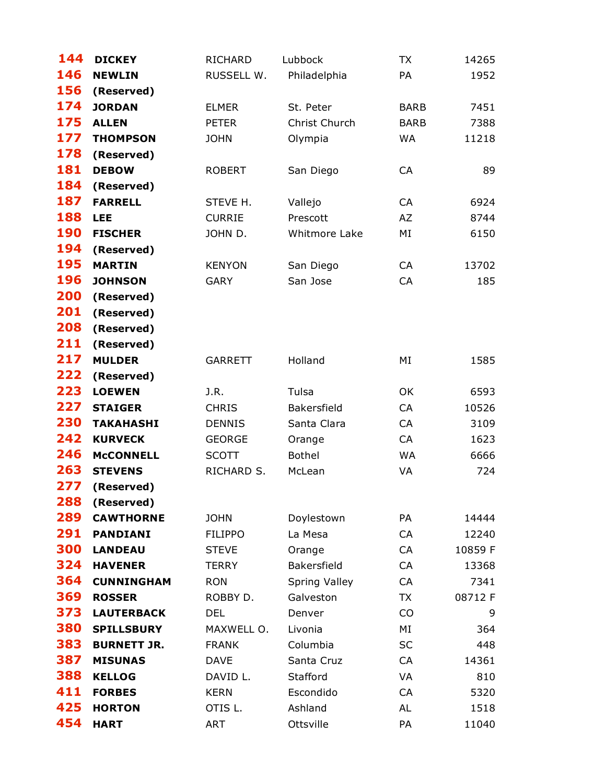| 144 | <b>DICKEY</b>      | <b>RICHARD</b> | Lubbock              | <b>TX</b>   | 14265   |
|-----|--------------------|----------------|----------------------|-------------|---------|
| 146 | <b>NEWLIN</b>      | RUSSELL W.     | Philadelphia         | PA          | 1952    |
| 156 | (Reserved)         |                |                      |             |         |
| 174 | <b>JORDAN</b>      | <b>ELMER</b>   | St. Peter            | <b>BARB</b> | 7451    |
| 175 | <b>ALLEN</b>       | <b>PETER</b>   | Christ Church        | <b>BARB</b> | 7388    |
| 177 | <b>THOMPSON</b>    | <b>JOHN</b>    | Olympia              | WA          | 11218   |
| 178 | (Reserved)         |                |                      |             |         |
| 181 | <b>DEBOW</b>       | <b>ROBERT</b>  | San Diego            | CA          | 89      |
| 184 | (Reserved)         |                |                      |             |         |
| 187 | <b>FARRELL</b>     | STEVE H.       | Vallejo              | CA          | 6924    |
| 188 | <b>LEE</b>         | <b>CURRIE</b>  | Prescott             | AZ          | 8744    |
| 190 | <b>FISCHER</b>     | JOHN D.        | Whitmore Lake        | ΜI          | 6150    |
| 194 | (Reserved)         |                |                      |             |         |
| 195 | <b>MARTIN</b>      | <b>KENYON</b>  | San Diego            | CA          | 13702   |
| 196 | <b>JOHNSON</b>     | <b>GARY</b>    | San Jose             | CA          | 185     |
| 200 | (Reserved)         |                |                      |             |         |
| 201 | (Reserved)         |                |                      |             |         |
| 208 | (Reserved)         |                |                      |             |         |
| 211 | (Reserved)         |                |                      |             |         |
| 217 | <b>MULDER</b>      | <b>GARRETT</b> | Holland              | ΜI          | 1585    |
| 222 | (Reserved)         |                |                      |             |         |
| 223 | <b>LOEWEN</b>      | J.R.           | Tulsa                | OK          | 6593    |
| 227 | <b>STAIGER</b>     | <b>CHRIS</b>   | <b>Bakersfield</b>   | CA          | 10526   |
| 230 | <b>TAKAHASHI</b>   | <b>DENNIS</b>  | Santa Clara          | CA          | 3109    |
| 242 | <b>KURVECK</b>     | <b>GEORGE</b>  | Orange               | CA          | 1623    |
| 246 | <b>MCCONNELL</b>   | <b>SCOTT</b>   | <b>Bothel</b>        | <b>WA</b>   | 6666    |
| 263 | <b>STEVENS</b>     | RICHARD S.     | McLean               | VA          | 724     |
| 277 | (Reserved)         |                |                      |             |         |
| 288 | (Reserved)         |                |                      |             |         |
| 289 | <b>CAWTHORNE</b>   | <b>JOHN</b>    | Doylestown           | PA          | 14444   |
| 291 | <b>PANDIANI</b>    | <b>FILIPPO</b> | La Mesa              | CA          | 12240   |
| 300 | <b>LANDEAU</b>     | <b>STEVE</b>   | Orange               | CA          | 10859 F |
| 324 | <b>HAVENER</b>     | <b>TERRY</b>   | Bakersfield          | CA          | 13368   |
| 364 | <b>CUNNINGHAM</b>  | <b>RON</b>     | <b>Spring Valley</b> | CA          | 7341    |
| 369 | <b>ROSSER</b>      | ROBBY D.       | Galveston            | <b>TX</b>   | 08712 F |
| 373 | <b>LAUTERBACK</b>  | <b>DEL</b>     | Denver               | CO          | 9       |
| 380 | <b>SPILLSBURY</b>  | MAXWELL O.     | Livonia              | ΜI          | 364     |
| 383 | <b>BURNETT JR.</b> | <b>FRANK</b>   | Columbia             | <b>SC</b>   | 448     |
| 387 | <b>MISUNAS</b>     | <b>DAVE</b>    | Santa Cruz           | CA          | 14361   |
| 388 | <b>KELLOG</b>      | DAVID L.       | Stafford             | VA          | 810     |
| 411 | <b>FORBES</b>      | <b>KERN</b>    | Escondido            | CA          | 5320    |
| 425 | <b>HORTON</b>      | OTIS L.        | Ashland              | AL          | 1518    |
| 454 | <b>HART</b>        | <b>ART</b>     | Ottsville            | PA          | 11040   |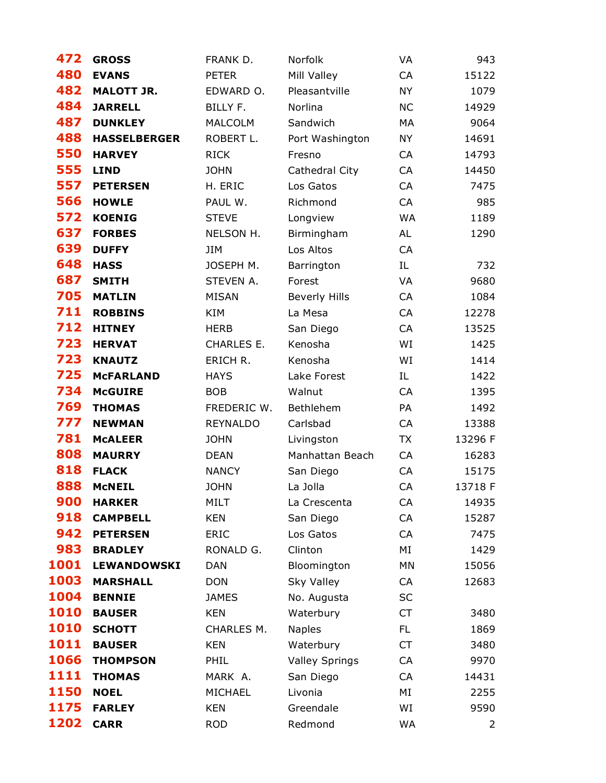| 472  | <b>GROSS</b>        | FRANK D.        | Norfolk               | VA        | 943            |
|------|---------------------|-----------------|-----------------------|-----------|----------------|
| 480  | <b>EVANS</b>        | <b>PETER</b>    | Mill Valley           | CA        | 15122          |
| 482  | <b>MALOTT JR.</b>   | EDWARD O.       | Pleasantville         | <b>NY</b> | 1079           |
| 484  | <b>JARRELL</b>      | BILLY F.        | Norlina               | <b>NC</b> | 14929          |
| 487  | <b>DUNKLEY</b>      | MALCOLM         | Sandwich              | MA        | 9064           |
| 488  | <b>HASSELBERGER</b> | ROBERT L.       | Port Washington       | <b>NY</b> | 14691          |
| 550  | <b>HARVEY</b>       | <b>RICK</b>     | Fresno                | CA        | 14793          |
| 555  | <b>LIND</b>         | <b>JOHN</b>     | Cathedral City        | CA        | 14450          |
| 557  | <b>PETERSEN</b>     | H. ERIC         | Los Gatos             | CA        | 7475           |
| 566  | <b>HOWLE</b>        | PAUL W.         | Richmond              | CA        | 985            |
| 572  | <b>KOENIG</b>       | <b>STEVE</b>    | Longview              | WA        | 1189           |
| 637  | <b>FORBES</b>       | NELSON H.       | Birmingham            | AL        | 1290           |
| 639  | <b>DUFFY</b>        | JIM             | Los Altos             | CA        |                |
| 648  | <b>HASS</b>         | JOSEPH M.       | Barrington            | IL        | 732            |
| 687  | <b>SMITH</b>        | STEVEN A.       | Forest                | VA        | 9680           |
| 705  | <b>MATLIN</b>       | <b>MISAN</b>    | <b>Beverly Hills</b>  | CA        | 1084           |
| 711  | <b>ROBBINS</b>      | <b>KIM</b>      | La Mesa               | CA        | 12278          |
| 712  | <b>HITNEY</b>       | <b>HERB</b>     | San Diego             | CA        | 13525          |
| 723  | <b>HERVAT</b>       | CHARLES E.      | Kenosha               | WI        | 1425           |
| 723  | <b>KNAUTZ</b>       | ERICH R.        | Kenosha               | WI        | 1414           |
| 725  | <b>MCFARLAND</b>    | <b>HAYS</b>     | Lake Forest           | IL        | 1422           |
| 734  | <b>McGUIRE</b>      | <b>BOB</b>      | Walnut                | CA        | 1395           |
| 769  | <b>THOMAS</b>       | FREDERIC W.     | Bethlehem             | PA        | 1492           |
| 777  | <b>NEWMAN</b>       | <b>REYNALDO</b> | Carlsbad              | CA        | 13388          |
| 781  | <b>MCALEER</b>      | <b>JOHN</b>     | Livingston            | <b>TX</b> | 13296 F        |
| 808  | <b>MAURRY</b>       | <b>DEAN</b>     | Manhattan Beach       | CA        | 16283          |
| 818  | <b>FLACK</b>        | <b>NANCY</b>    | San Diego             | CA        | 15175          |
| 888  | <b>MCNEIL</b>       | <b>JOHN</b>     | La Jolla              | CA        | 13718 F        |
| 900  | <b>HARKER</b>       | <b>MILT</b>     | La Crescenta          | CA        | 14935          |
| 918  | <b>CAMPBELL</b>     | <b>KEN</b>      | San Diego             | CA        | 15287          |
| 942  | <b>PETERSEN</b>     | <b>ERIC</b>     | Los Gatos             | CA        | 7475           |
| 983  | <b>BRADLEY</b>      | RONALD G.       | Clinton               | ΜI        | 1429           |
| 1001 | LEWANDOWSKI         | <b>DAN</b>      | Bloomington           | MN        | 15056          |
| 1003 | <b>MARSHALL</b>     | <b>DON</b>      | Sky Valley            | CA        | 12683          |
| 1004 | <b>BENNIE</b>       | <b>JAMES</b>    | No. Augusta           | <b>SC</b> |                |
| 1010 | <b>BAUSER</b>       | <b>KEN</b>      | Waterbury             | CT        | 3480           |
| 1010 | <b>SCHOTT</b>       | CHARLES M.      | <b>Naples</b>         | FL.       | 1869           |
| 1011 | <b>BAUSER</b>       | <b>KEN</b>      | Waterbury             | <b>CT</b> | 3480           |
| 1066 | <b>THOMPSON</b>     | <b>PHIL</b>     | <b>Valley Springs</b> | CA        | 9970           |
| 1111 | <b>THOMAS</b>       | MARK A.         | San Diego             | CA        | 14431          |
| 1150 | <b>NOEL</b>         | MICHAEL         | Livonia               | ΜI        | 2255           |
| 1175 | <b>FARLEY</b>       | <b>KEN</b>      | Greendale             | WI        | 9590           |
| 1202 | <b>CARR</b>         | <b>ROD</b>      | Redmond               | WA        | $\overline{2}$ |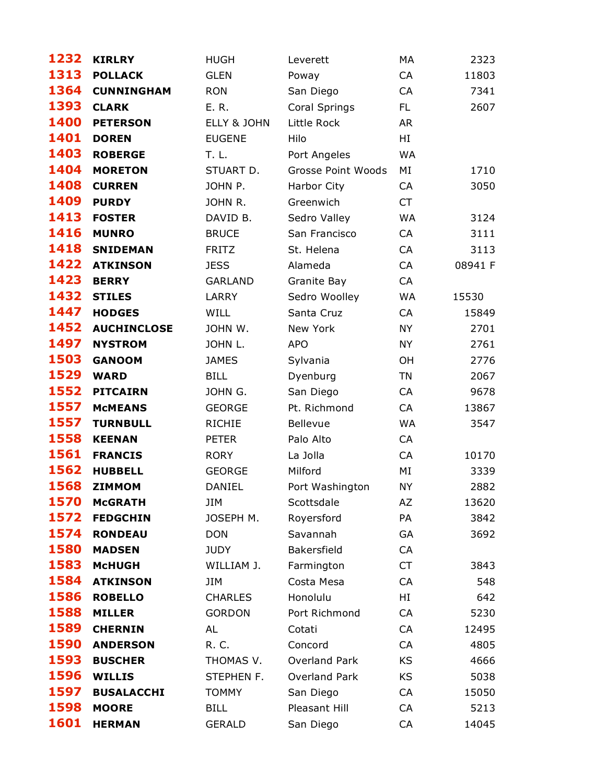| 1232 | <b>KIRLRY</b>      | <b>HUGH</b>    | Leverett                  | MA        | 2323    |
|------|--------------------|----------------|---------------------------|-----------|---------|
| 1313 | <b>POLLACK</b>     | <b>GLEN</b>    | Poway                     | CA        | 11803   |
| 1364 | <b>CUNNINGHAM</b>  | <b>RON</b>     | San Diego                 | CA        | 7341    |
| 1393 | <b>CLARK</b>       | E. R.          | <b>Coral Springs</b>      | FL.       | 2607    |
| 1400 | <b>PETERSON</b>    | ELLY & JOHN    | Little Rock               | <b>AR</b> |         |
| 1401 | <b>DOREN</b>       | <b>EUGENE</b>  | Hilo                      | HI        |         |
| 1403 | <b>ROBERGE</b>     | T. L.          | Port Angeles              | WA        |         |
| 1404 | <b>MORETON</b>     | STUART D.      | <b>Grosse Point Woods</b> | ΜI        | 1710    |
| 1408 | <b>CURREN</b>      | JOHN P.        | Harbor City               | CA        | 3050    |
| 1409 | <b>PURDY</b>       | JOHN R.        | Greenwich                 | <b>CT</b> |         |
| 1413 | <b>FOSTER</b>      | DAVID B.       | Sedro Valley              | <b>WA</b> | 3124    |
| 1416 | <b>MUNRO</b>       | <b>BRUCE</b>   | San Francisco             | CA        | 3111    |
| 1418 | <b>SNIDEMAN</b>    | <b>FRITZ</b>   | St. Helena                | CA        | 3113    |
| 1422 | <b>ATKINSON</b>    | <b>JESS</b>    | Alameda                   | CA        | 08941 F |
| 1423 | <b>BERRY</b>       | <b>GARLAND</b> | Granite Bay               | CA        |         |
| 1432 | <b>STILES</b>      | LARRY          | Sedro Woolley             | WA        | 15530   |
| 1447 | <b>HODGES</b>      | <b>WILL</b>    | Santa Cruz                | CA        | 15849   |
| 1452 | <b>AUCHINCLOSE</b> | JOHN W.        | New York                  | <b>NY</b> | 2701    |
| 1497 | <b>NYSTROM</b>     | JOHN L.        | <b>APO</b>                | <b>NY</b> | 2761    |
| 1503 | <b>GANOOM</b>      | <b>JAMES</b>   | Sylvania                  | OH        | 2776    |
| 1529 | <b>WARD</b>        | <b>BILL</b>    | Dyenburg                  | <b>TN</b> | 2067    |
| 1552 | <b>PITCAIRN</b>    | JOHN G.        | San Diego                 | CA        | 9678    |
| 1557 | <b>MCMEANS</b>     | <b>GEORGE</b>  | Pt. Richmond              | CA        | 13867   |
| 1557 | <b>TURNBULL</b>    | <b>RICHIE</b>  | Bellevue                  | <b>WA</b> | 3547    |
| 1558 | <b>KEENAN</b>      | <b>PETER</b>   | Palo Alto                 | CA        |         |
| 1561 | <b>FRANCIS</b>     | <b>RORY</b>    | La Jolla                  | CA        | 10170   |
| 1562 | <b>HUBBELL</b>     | <b>GEORGE</b>  | Milford                   | ΜI        | 3339    |
| 1568 | <b>ZIMMOM</b>      | DANIEL         | Port Washington           | <b>NY</b> | 2882    |
| 1570 | <b>McGRATH</b>     | JIM            | Scottsdale                | AZ        | 13620   |
| 1572 | <b>FEDGCHIN</b>    | JOSEPH M.      | Royersford                | PA        | 3842    |
| 1574 | <b>RONDEAU</b>     | <b>DON</b>     | Savannah                  | GA        | 3692    |
| 1580 | <b>MADSEN</b>      | <b>JUDY</b>    | Bakersfield               | CA        |         |
| 1583 | <b>McHUGH</b>      | WILLIAM J.     | Farmington                | <b>CT</b> | 3843    |
| 1584 | <b>ATKINSON</b>    | JIM            | Costa Mesa                | CA        | 548     |
| 1586 | <b>ROBELLO</b>     | <b>CHARLES</b> | Honolulu                  | HI        | 642     |
| 1588 | <b>MILLER</b>      | <b>GORDON</b>  | Port Richmond             | CA        | 5230    |
| 1589 | <b>CHERNIN</b>     | AL             | Cotati                    | CA        | 12495   |
| 1590 | <b>ANDERSON</b>    | R. C.          | Concord                   | CA        | 4805    |
| 1593 | <b>BUSCHER</b>     | THOMAS V.      | Overland Park             | <b>KS</b> | 4666    |
| 1596 | <b>WILLIS</b>      | STEPHEN F.     | Overland Park             | KS        | 5038    |
| 1597 | <b>BUSALACCHI</b>  | <b>TOMMY</b>   | San Diego                 | CA        | 15050   |
| 1598 | <b>MOORE</b>       | <b>BILL</b>    | Pleasant Hill             | CA        | 5213    |
| 1601 | <b>HERMAN</b>      | <b>GERALD</b>  | San Diego                 | CA        | 14045   |